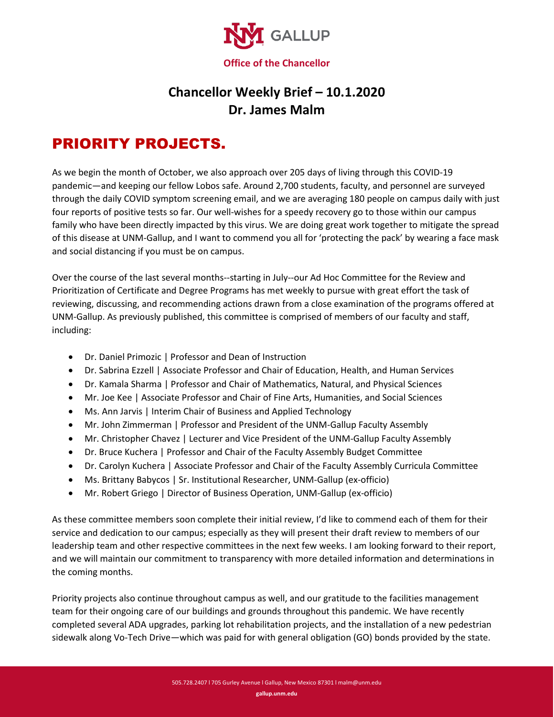

## **Chancellor Weekly Brief – 10.1.2020 Dr. James Malm**

## PRIORITY PROJECTS.

As we begin the month of October, we also approach over 205 days of living through this COVID-19 pandemic—and keeping our fellow Lobos safe. Around 2,700 students, faculty, and personnel are surveyed through the daily COVID symptom screening email, and we are averaging 180 people on campus daily with just four reports of positive tests so far. Our well-wishes for a speedy recovery go to those within our campus family who have been directly impacted by this virus. We are doing great work together to mitigate the spread of this disease at UNM-Gallup, and I want to commend you all for 'protecting the pack' by wearing a face mask and social distancing if you must be on campus.

Over the course of the last several months--starting in July--our Ad Hoc Committee for the Review and Prioritization of Certificate and Degree Programs has met weekly to pursue with great effort the task of reviewing, discussing, and recommending actions drawn from a close examination of the programs offered at UNM-Gallup. As previously published, this committee is comprised of members of our faculty and staff, including:

- Dr. Daniel Primozic | Professor and Dean of Instruction
- Dr. Sabrina Ezzell | Associate Professor and Chair of Education, Health, and Human Services
- Dr. Kamala Sharma | Professor and Chair of Mathematics, Natural, and Physical Sciences
- Mr. Joe Kee | Associate Professor and Chair of Fine Arts, Humanities, and Social Sciences
- Ms. Ann Jarvis | Interim Chair of Business and Applied Technology
- Mr. John Zimmerman | Professor and President of the UNM-Gallup Faculty Assembly
- Mr. Christopher Chavez | Lecturer and Vice President of the UNM-Gallup Faculty Assembly
- Dr. Bruce Kuchera | Professor and Chair of the Faculty Assembly Budget Committee
- Dr. Carolyn Kuchera | Associate Professor and Chair of the Faculty Assembly Curricula Committee
- Ms. Brittany Babycos | Sr. Institutional Researcher, UNM-Gallup (ex-officio)
- Mr. Robert Griego | Director of Business Operation, UNM-Gallup (ex-officio)

As these committee members soon complete their initial review, I'd like to commend each of them for their service and dedication to our campus; especially as they will present their draft review to members of our leadership team and other respective committees in the next few weeks. I am looking forward to their report, and we will maintain our commitment to transparency with more detailed information and determinations in the coming months.

Priority projects also continue throughout campus as well, and our gratitude to the facilities management team for their ongoing care of our buildings and grounds throughout this pandemic. We have recently completed several ADA upgrades, parking lot rehabilitation projects, and the installation of a new pedestrian sidewalk along Vo-Tech Drive—which was paid for with general obligation (GO) bonds provided by the state.